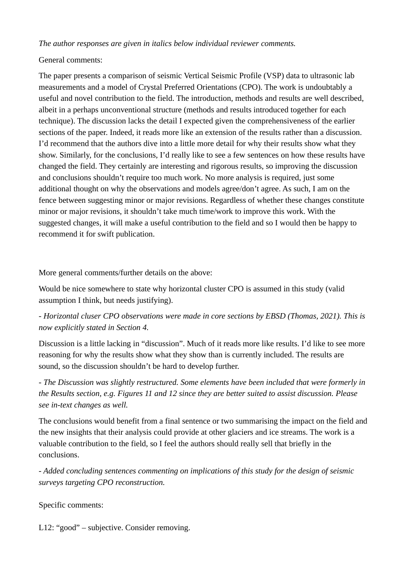*The author responses are given in italics below individual reviewer comments.*

## General comments:

The paper presents a comparison of seismic Vertical Seismic Profile (VSP) data to ultrasonic lab measurements and a model of Crystal Preferred Orientations (CPO). The work is undoubtably a useful and novel contribution to the field. The introduction, methods and results are well described, albeit in a perhaps unconventional structure (methods and results introduced together for each technique). The discussion lacks the detail I expected given the comprehensiveness of the earlier sections of the paper. Indeed, it reads more like an extension of the results rather than a discussion. I'd recommend that the authors dive into a little more detail for why their results show what they show. Similarly, for the conclusions, I'd really like to see a few sentences on how these results have changed the field. They certainly are interesting and rigorous results, so improving the discussion and conclusions shouldn't require too much work. No more analysis is required, just some additional thought on why the observations and models agree/don't agree. As such, I am on the fence between suggesting minor or major revisions. Regardless of whether these changes constitute minor or major revisions, it shouldn't take much time/work to improve this work. With the suggested changes, it will make a useful contribution to the field and so I would then be happy to recommend it for swift publication.

More general comments/further details on the above:

Would be nice somewhere to state why horizontal cluster CPO is assumed in this study (valid assumption I think, but needs justifying).

*- Horizontal cluser CPO observations were made in core sections by EBSD (Thomas, 2021). This is now explicitly stated in Section 4.*

Discussion is a little lacking in "discussion". Much of it reads more like results. I'd like to see more reasoning for why the results show what they show than is currently included. The results are sound, so the discussion shouldn't be hard to develop further.

*- The Discussion was slightly restructured. Some elements have been included that were formerly in the Results section, e.g. Figures 11 and 12 since they are better suited to assist discussion. Please see in-text changes as well.*

The conclusions would benefit from a final sentence or two summarising the impact on the field and the new insights that their analysis could provide at other glaciers and ice streams. The work is a valuable contribution to the field, so I feel the authors should really sell that briefly in the conclusions.

*- Added concluding sentences commenting on implications of this study for the design of seismic surveys targeting CPO reconstruction.*

Specific comments:

L12: "good" – subjective. Consider removing.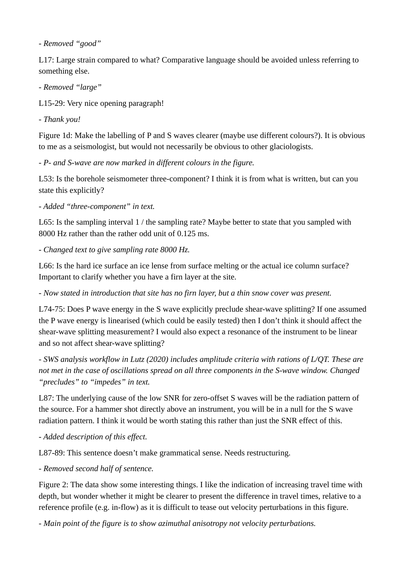*- Removed "good"*

L17: Large strain compared to what? Comparative language should be avoided unless referring to something else.

*- Removed "large"*

L15-29: Very nice opening paragraph!

*- Thank you!*

Figure 1d: Make the labelling of P and S waves clearer (maybe use different colours?). It is obvious to me as a seismologist, but would not necessarily be obvious to other glaciologists.

*- P- and S-wave are now marked in different colours in the figure.*

L53: Is the borehole seismometer three-component? I think it is from what is written, but can you state this explicitly?

*- Added "three-component" in text.*

L65: Is the sampling interval 1 / the sampling rate? Maybe better to state that you sampled with 8000 Hz rather than the rather odd unit of 0.125 ms.

*- Changed text to give sampling rate 8000 Hz.*

L66: Is the hard ice surface an ice lense from surface melting or the actual ice column surface? Important to clarify whether you have a firn layer at the site.

*- Now stated in introduction that site has no firn layer, but a thin snow cover was present.*

L74-75: Does P wave energy in the S wave explicitly preclude shear-wave splitting? If one assumed the P wave energy is linearised (which could be easily tested) then I don't think it should affect the shear-wave splitting measurement? I would also expect a resonance of the instrument to be linear and so not affect shear-wave splitting?

*- SWS analysis workflow in Lutz (2020) includes amplitude criteria with rations of L/QT. These are not met in the case of oscillations spread on all three components in the S-wave window. Changed "precludes" to "impedes" in text.*

L87: The underlying cause of the low SNR for zero-offset S waves will be the radiation pattern of the source. For a hammer shot directly above an instrument, you will be in a null for the S wave radiation pattern. I think it would be worth stating this rather than just the SNR effect of this.

*- Added description of this effect.*

L87-89: This sentence doesn't make grammatical sense. Needs restructuring.

*- Removed second half of sentence.*

Figure 2: The data show some interesting things. I like the indication of increasing travel time with depth, but wonder whether it might be clearer to present the difference in travel times, relative to a reference profile (e.g. in-flow) as it is difficult to tease out velocity perturbations in this figure.

*- Main point of the figure is to show azimuthal anisotropy not velocity perturbations.*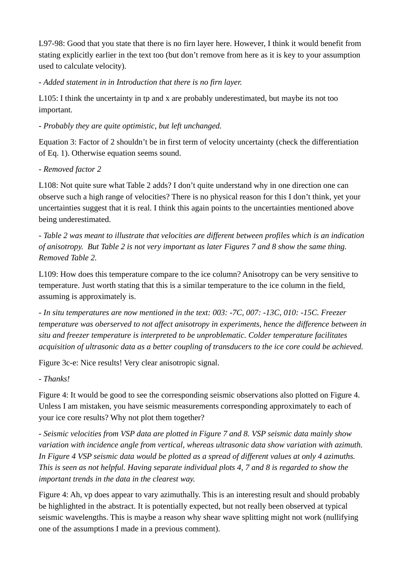L97-98: Good that you state that there is no firn layer here. However, I think it would benefit from stating explicitly earlier in the text too (but don't remove from here as it is key to your assumption used to calculate velocity).

*- Added statement in in Introduction that there is no firn layer.*

L105: I think the uncertainty in tp and x are probably underestimated, but maybe its not too important.

*- Probably they are quite optimistic, but left unchanged.*

Equation 3: Factor of 2 shouldn't be in first term of velocity uncertainty (check the differentiation of Eq. 1). Otherwise equation seems sound.

## *- Removed factor 2*

L108: Not quite sure what Table 2 adds? I don't quite understand why in one direction one can observe such a high range of velocities? There is no physical reason for this I don't think, yet your uncertainties suggest that it is real. I think this again points to the uncertainties mentioned above being underestimated.

*- Table 2 was meant to illustrate that velocities are different between profiles which is an indication of anisotropy. But Table 2 is not very important as later Figures 7 and 8 show the same thing. Removed Table 2.*

L109: How does this temperature compare to the ice column? Anisotropy can be very sensitive to temperature. Just worth stating that this is a similar temperature to the ice column in the field, assuming is approximately is.

*- In situ temperatures are now mentioned in the text: 003: -7C, 007: -13C, 010: -15C. Freezer temperature was oberserved to not affect anisotropy in experiments, hence the difference between in situ and freezer temperature is interpreted to be unproblematic. Colder temperature facilitates acquisition of ultrasonic data as a better coupling of transducers to the ice core could be achieved.* 

Figure 3c-e: Nice results! Very clear anisotropic signal.

*- Thanks!*

Figure 4: It would be good to see the corresponding seismic observations also plotted on Figure 4. Unless I am mistaken, you have seismic measurements corresponding approximately to each of your ice core results? Why not plot them together?

*- Seismic velocities from VSP data are plotted in Figure 7 and 8. VSP seismic data mainly show variation with incidence angle from vertical, whereas ultrasonic data show variation with azimuth. In Figure 4 VSP seismic data would be plotted as a spread of different values at only 4 azimuths. This is seen as not helpful. Having separate individual plots 4, 7 and 8 is regarded to show the important trends in the data in the clearest way.*

Figure 4: Ah, vp does appear to vary azimuthally. This is an interesting result and should probably be highlighted in the abstract. It is potentially expected, but not really been observed at typical seismic wavelengths. This is maybe a reason why shear wave splitting might not work (nullifying one of the assumptions I made in a previous comment).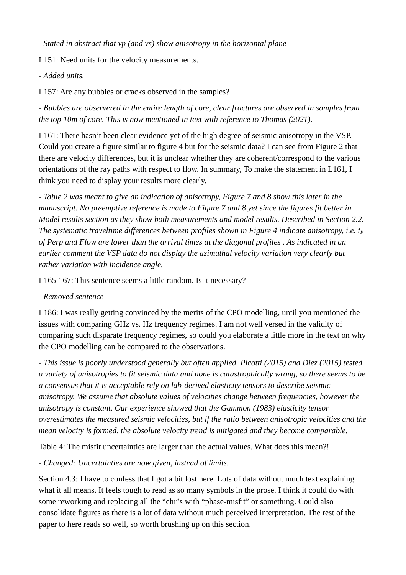*- Stated in abstract that vp (and vs) show anisotropy in the horizontal plane*

L151: Need units for the velocity measurements.

*- Added units.*

L157: Are any bubbles or cracks observed in the samples?

*- Bubbles are observered in the entire length of core, clear fractures are observed in samples from the top 10m of core. This is now mentioned in text with reference to Thomas (2021).*

L161: There hasn't been clear evidence yet of the high degree of seismic anisotropy in the VSP. Could you create a figure similar to figure 4 but for the seismic data? I can see from Figure 2 that there are velocity differences, but it is unclear whether they are coherent/correspond to the various orientations of the ray paths with respect to flow. In summary, To make the statement in L161, I think you need to display your results more clearly.

*- Table 2 was meant to give an indication of anisotropy, Figure 7 and 8 show this later in the manuscript. No preemptive reference is made to Figure 7 and 8 yet since the figures fit better in Model results section as they show both measurements and model results. Described in Section 2.2. The systematic traveltime differences between profiles shown in Figure 4 indicate anisotropy, i.e. t<sub><i>P</sub>*</sub> *of Perp and Flow are lower than the arrival times at the diagonal profiles . As indicated in an earlier comment the VSP data do not display the azimuthal velocity variation very clearly but rather variation with incidence angle.*

L165-167: This sentence seems a little random. Is it necessary?

*- Removed sentence*

L186: I was really getting convinced by the merits of the CPO modelling, until you mentioned the issues with comparing GHz vs. Hz frequency regimes. I am not well versed in the validity of comparing such disparate frequency regimes, so could you elaborate a little more in the text on why the CPO modelling can be compared to the observations.

*- This issue is poorly understood generally but often applied. Picotti (2015) and Diez (2015) tested a variety of anisotropies to fit seismic data and none is catastrophically wrong, so there seems to be a consensus that it is acceptable rely on lab-derived elasticity tensors to describe seismic anisotropy. We assume that absolute values of velocities change between frequencies, however the anisotropy is constant. Our experience showed that the Gammon (1983) elasticity tensor overestimates the measured seismic velocities, but if the ratio between anisotropic velocities and the mean velocity is formed, the absolute velocity trend is mitigated and they become comparable.*

Table 4: The misfit uncertainties are larger than the actual values. What does this mean?!

*- Changed: Uncertainties are now given, instead of limits.*

Section 4.3: I have to confess that I got a bit lost here. Lots of data without much text explaining what it all means. It feels tough to read as so many symbols in the prose. I think it could do with some reworking and replacing all the "chi"s with "phase-misfit" or something. Could also consolidate figures as there is a lot of data without much perceived interpretation. The rest of the paper to here reads so well, so worth brushing up on this section.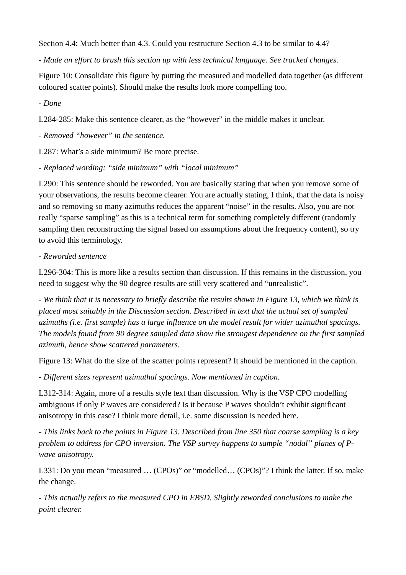Section 4.4: Much better than 4.3. Could you restructure Section 4.3 to be similar to 4.4?

*- Made an effort to brush this section up with less technical language. See tracked changes.*

Figure 10: Consolidate this figure by putting the measured and modelled data together (as different coloured scatter points). Should make the results look more compelling too.

*- Done*

L284-285: Make this sentence clearer, as the "however" in the middle makes it unclear.

*- Removed "however" in the sentence.*

L287: What's a side minimum? Be more precise.

*- Replaced wording: "side minimum" with "local minimum"*

L290: This sentence should be reworded. You are basically stating that when you remove some of your observations, the results become clearer. You are actually stating, I think, that the data is noisy and so removing so many azimuths reduces the apparent "noise" in the results. Also, you are not really "sparse sampling" as this is a technical term for something completely different (randomly sampling then reconstructing the signal based on assumptions about the frequency content), so try to avoid this terminology.

## *- Reworded sentence*

L296-304: This is more like a results section than discussion. If this remains in the discussion, you need to suggest why the 90 degree results are still very scattered and "unrealistic".

*- We think that it is necessary to briefly describe the results shown in Figure 13, which we think is placed most suitably in the Discussion section. Described in text that the actual set of sampled azimuths (i.e. first sample) has a large influence on the model result for wider azimuthal spacings. The models found from 90 degree sampled data show the strongest dependence on the first sampled azimuth, hence show scattered parameters.*

Figure 13: What do the size of the scatter points represent? It should be mentioned in the caption.

*- Different sizes represent azimuthal spacings. Now mentioned in caption.*

L312-314: Again, more of a results style text than discussion. Why is the VSP CPO modelling ambiguous if only P waves are considered? Is it because P waves shouldn't exhibit significant anisotropy in this case? I think more detail, i.e. some discussion is needed here.

*- This links back to the points in Figure 13. Described from line 350 that coarse sampling is a key problem to address for CPO inversion. The VSP survey happens to sample "nodal" planes of Pwave anisotropy.*

L331: Do you mean "measured ... (CPOs)" or "modelled... (CPOs)"? I think the latter. If so, make the change.

*- This actually refers to the measured CPO in EBSD. Slightly reworded conclusions to make the point clearer.*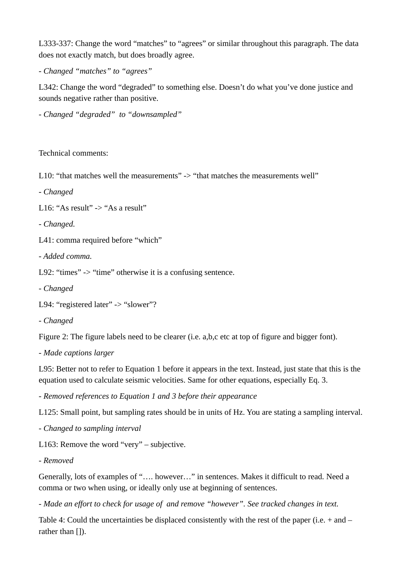L333-337: Change the word "matches" to "agrees" or similar throughout this paragraph. The data does not exactly match, but does broadly agree.

*- Changed "matches" to "agrees"*

L342: Change the word "degraded" to something else. Doesn't do what you've done justice and sounds negative rather than positive.

*- Changed "degraded" to "downsampled"*

Technical comments:

L10: "that matches well the measurements" -> "that matches the measurements well"

*- Changed*

L16: "As result" -> "As a result"

*- Changed.*

L41: comma required before "which"

*- Added comma.*

L92: "times" -> "time" otherwise it is a confusing sentence.

*- Changed*

```
L94: "registered later" -> "slower"?
```
*- Changed*

Figure 2: The figure labels need to be clearer (i.e. a,b,c etc at top of figure and bigger font).

*- Made captions larger*

L95: Better not to refer to Equation 1 before it appears in the text. Instead, just state that this is the equation used to calculate seismic velocities. Same for other equations, especially Eq. 3.

*- Removed references to Equation 1 and 3 before their appearance*

L125: Small point, but sampling rates should be in units of Hz. You are stating a sampling interval.

*- Changed to sampling interval*

L163: Remove the word "very" – subjective.

```
- Removed
```
Generally, lots of examples of "…. however…" in sentences. Makes it difficult to read. Need a comma or two when using, or ideally only use at beginning of sentences.

*- Made an effort to check for usage of and remove "however". See tracked changes in text.*

Table 4: Could the uncertainties be displaced consistently with the rest of the paper (i.e. + and – rather than []).